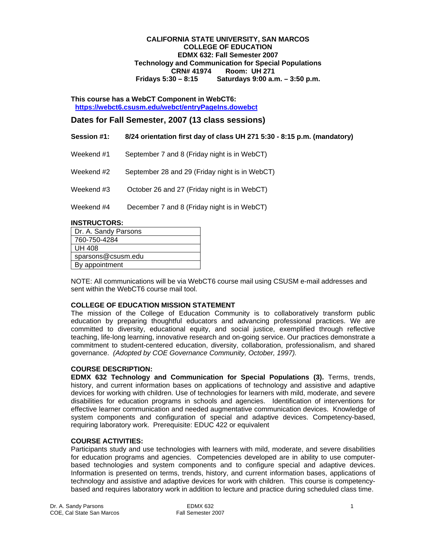### **CALIFORNIA STATE UNIVERSITY, SAN MARCOS COLLEGE OF EDUCATION EDMX 632: Fall Semester 2007 Technology and Communication for Special Populations CRN# 41974 Room: UH 271 Fridays 5:30 – 8:15 Saturdays 9:00 a.m. – 3:50 p.m.**

**This course has a WebCT Component in WebCT6: https://webct6.csusm.edu/webct/entryPageIns.dowebct** 

# **Dates for Fall Semester, 2007 (13 class sessions)**

| Session #1: | 8/24 orientation first day of class UH 271 5:30 - 8:15 p.m. (mandatory) |
|-------------|-------------------------------------------------------------------------|
|             |                                                                         |

- Weekend #1 September 7 and 8 (Friday night is in WebCT)
- Weekend #2 September 28 and 29 (Friday night is in WebCT)
- Weekend #3 October 26 and 27 (Friday night is in WebCT)
- Weekend #4 December 7 and 8 (Friday night is in WebCT)

### **INSTRUCTORS:**

| Dr. A. Sandy Parsons |
|----------------------|
| 760-750-4284         |
| <b>UH 408</b>        |
| sparsons@csusm.edu   |
| By appointment       |

NOTE: All communications will be via WebCT6 course mail using CSUSM e-mail addresses and sent within the WebCT6 course mail tool.

### **COLLEGE OF EDUCATION MISSION STATEMENT**

The mission of the College of Education Community is to collaboratively transform public education by preparing thoughtful educators and advancing professional practices. We are committed to diversity, educational equity, and social justice, exemplified through reflective teaching, life-long learning, innovative research and on-going service. Our practices demonstrate a commitment to student-centered education, diversity, collaboration, professionalism, and shared governance. *(Adopted by COE Governance Community, October, 1997).* 

### **COURSE DESCRIPTION:**

**EDMX 632 Technology and Communication for Special Populations (3).** Terms, trends, history, and current information bases on applications of technology and assistive and adaptive devices for working with children. Use of technologies for learners with mild, moderate, and severe disabilities for education programs in schools and agencies. Identification of interventions for effective learner communication and needed augmentative communication devices. Knowledge of system components and configuration of special and adaptive devices. Competency-based, requiring laboratory work. Prerequisite: EDUC 422 or equivalent

### **COURSE ACTIVITIES:**

Participants study and use technologies with learners with mild, moderate, and severe disabilities for education programs and agencies. Competencies developed are in ability to use computerbased technologies and system components and to configure special and adaptive devices. Information is presented on terms, trends, history, and current information bases, applications of technology and assistive and adaptive devices for work with children. This course is competencybased and requires laboratory work in addition to lecture and practice during scheduled class time.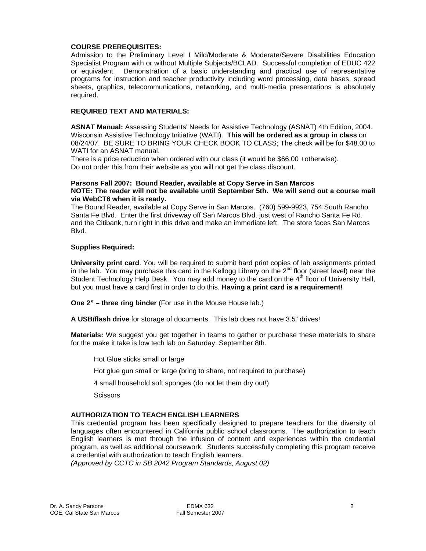## **COURSE PREREQUISITES:**

Admission to the Preliminary Level I Mild/Moderate & Moderate/Severe Disabilities Education Specialist Program with or without Multiple Subjects/BCLAD. Successful completion of EDUC 422 or equivalent. Demonstration of a basic understanding and practical use of representative programs for instruction and teacher productivity including word processing, data bases, spread sheets, graphics, telecommunications, networking, and multi-media presentations is absolutely required.

## **REQUIRED TEXT AND MATERIALS:**

**ASNAT Manual:** Assessing Students' Needs for Assistive Technology (ASNAT) 4th Edition, 2004. Wisconsin Assistive Technology Initiative (WATI). **This will be ordered as a group in class** on 08/24/07. BE SURE TO BRING YOUR CHECK BOOK TO CLASS; The check will be for \$48.00 to WATI for an ASNAT manual.

There is a price reduction when ordered with our class (it would be \$66.00 +otherwise). Do not order this from their website as you will not get the class discount.

### **Parsons Fall 2007: Bound Reader, available at Copy Serve in San Marcos NOTE: The reader will not be available until September 5th. We will send out a course mail via WebCT6 when it is ready.**

The Bound Reader, available at Copy Serve in San Marcos. (760) 599-9923, 754 South Rancho Santa Fe Blvd. Enter the first driveway off San Marcos Blvd. just west of Rancho Santa Fe Rd. and the Citibank, turn right in this drive and make an immediate left. The store faces San Marcos Blvd.

## **Supplies Required:**

**University print card**. You will be required to submit hard print copies of lab assignments printed in the lab. You may purchase this card in the Kellogg Library on the  $2^{nd}$  floor (street level) near the Student Technology Help Desk. You may add money to the card on the 4<sup>th</sup> floor of University Hall, but you must have a card first in order to do this. **Having a print card is a requirement!**

**One 2" – three ring binder** (For use in the Mouse House lab.)

**A USB/flash drive** for storage of documents. This lab does not have 3.5" drives!

**Materials:** We suggest you get together in teams to gather or purchase these materials to share for the make it take is low tech lab on Saturday, September 8th.

Hot Glue sticks small or large

Hot glue gun small or large (bring to share, not required to purchase)

4 small household soft sponges (do not let them dry out!)

**Scissors** 

# **AUTHORIZATION TO TEACH ENGLISH LEARNERS**

This credential program has been specifically designed to prepare teachers for the diversity of languages often encountered in California public school classrooms. The authorization to teach English learners is met through the infusion of content and experiences within the credential program, as well as additional coursework. Students successfully completing this program receive a credential with authorization to teach English learners.

*(Approved by CCTC in SB 2042 Program Standards, August 02)*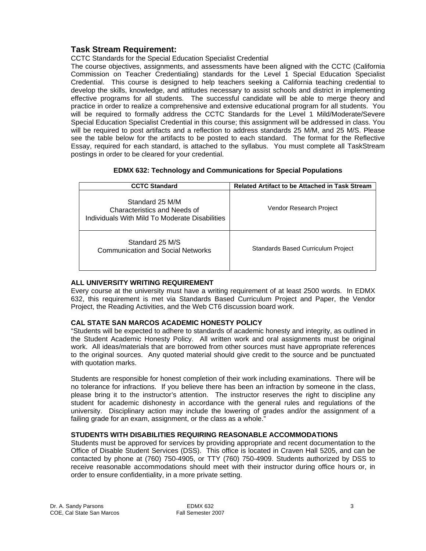# **Task Stream Requirement:**

CCTC Standards for the Special Education Specialist Credential

The course objectives, assignments, and assessments have been aligned with the CCTC (California Commission on Teacher Credentialing) standards for the Level 1 Special Education Specialist Credential. This course is designed to help teachers seeking a California teaching credential to develop the skills, knowledge, and attitudes necessary to assist schools and district in implementing effective programs for all students. The successful candidate will be able to merge theory and practice in order to realize a comprehensive and extensive educational program for all students. You will be required to formally address the CCTC Standards for the Level 1 Mild/Moderate/Severe Special Education Specialist Credential in this course; this assignment will be addressed in class. You will be required to post artifacts and a reflection to address standards 25 M/M, and 25 M/S. Please see the table below for the artifacts to be posted to each standard. The format for the Reflective Essay, required for each standard, is attached to the syllabus. You must complete all TaskStream postings in order to be cleared for your credential.

| <b>EDMX 632: Technology and Communications for Special Populations</b> |  |
|------------------------------------------------------------------------|--|
|------------------------------------------------------------------------|--|

| <b>CCTC Standard</b>                                                                              | <b>Related Artifact to be Attached in Task Stream</b> |
|---------------------------------------------------------------------------------------------------|-------------------------------------------------------|
| Standard 25 M/M<br>Characteristics and Needs of<br>Individuals With Mild To Moderate Disabilities | Vendor Research Project                               |
| Standard 25 M/S<br><b>Communication and Social Networks</b>                                       | Standards Based Curriculum Project                    |

# **ALL UNIVERSITY WRITING REQUIREMENT**

Every course at the university must have a writing requirement of at least 2500 words. In EDMX 632, this requirement is met via Standards Based Curriculum Project and Paper, the Vendor Project, the Reading Activities, and the Web CT6 discussion board work.

# **CAL STATE SAN MARCOS ACADEMIC HONESTY POLICY**

"Students will be expected to adhere to standards of academic honesty and integrity, as outlined in the Student Academic Honesty Policy. All written work and oral assignments must be original work. All ideas/materials that are borrowed from other sources must have appropriate references to the original sources. Any quoted material should give credit to the source and be punctuated with quotation marks.

Students are responsible for honest completion of their work including examinations. There will be no tolerance for infractions. If you believe there has been an infraction by someone in the class, please bring it to the instructor's attention. The instructor reserves the right to discipline any student for academic dishonesty in accordance with the general rules and regulations of the university. Disciplinary action may include the lowering of grades and/or the assignment of a failing grade for an exam, assignment, or the class as a whole."

# **STUDENTS WITH DISABILITIES REQUIRING REASONABLE ACCOMMODATIONS**

Students must be approved for services by providing appropriate and recent documentation to the Office of Disable Student Services (DSS). This office is located in Craven Hall 5205, and can be contacted by phone at (760) 750-4905, or TTY (760) 750-4909. Students authorized by DSS to receive reasonable accommodations should meet with their instructor during office hours or, in order to ensure confidentiality, in a more private setting.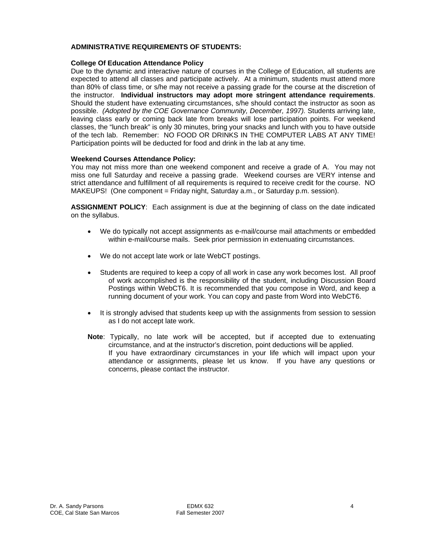## **ADMINISTRATIVE REQUIREMENTS OF STUDENTS:**

#### **College Of Education Attendance Policy**

Due to the dynamic and interactive nature of courses in the College of Education, all students are expected to attend all classes and participate actively. At a minimum, students must attend more than 80% of class time, or s/he may not receive a passing grade for the course at the discretion of the instructor. **Individual instructors may adopt more stringent attendance requirements**. Should the student have extenuating circumstances, s/he should contact the instructor as soon as possible. *(Adopted by the COE Governance Community, December, 1997).* Students arriving late, leaving class early or coming back late from breaks will lose participation points. For weekend classes, the "lunch break" is only 30 minutes, bring your snacks and lunch with you to have outside of the tech lab. Remember: NO FOOD OR DRINKS IN THE COMPUTER LABS AT ANY TIME! Participation points will be deducted for food and drink in the lab at any time.

### **Weekend Courses Attendance Policy:**

You may not miss more than one weekend component and receive a grade of A. You may not miss one full Saturday and receive a passing grade. Weekend courses are VERY intense and strict attendance and fulfillment of all requirements is required to receive credit for the course. NO MAKEUPS! (One component = Friday night, Saturday a.m., or Saturday p.m. session).

**ASSIGNMENT POLICY**: Each assignment is due at the beginning of class on the date indicated on the syllabus.

- We do typically not accept assignments as e-mail/course mail attachments or embedded within e-mail/course mails. Seek prior permission in extenuating circumstances.
- We do not accept late work or late WebCT postings.
- Students are required to keep a copy of all work in case any work becomes lost. All proof of work accomplished is the responsibility of the student, including Discussion Board Postings within WebCT6. It is recommended that you compose in Word, and keep a running document of your work. You can copy and paste from Word into WebCT6.
- It is strongly advised that students keep up with the assignments from session to session as I do not accept late work.
- **Note**: Typically, no late work will be accepted, but if accepted due to extenuating circumstance, and at the instructor's discretion, point deductions will be applied. If you have extraordinary circumstances in your life which will impact upon your attendance or assignments, please let us know. If you have any questions or concerns, please contact the instructor.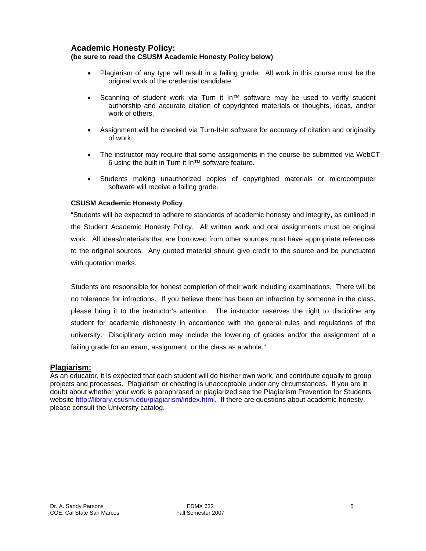# **Academic Honesty Policy:**

# **(be sure to read the CSUSM Academic Honesty Policy below)**

- Plagiarism of any type will result in a failing grade. All work in this course must be the original work of the credential candidate.
- Scanning of student work via Turn it In™ software may be used to verify student authorship and accurate citation of copyrighted materials or thoughts, ideas, and/or work of others.
- Assignment will be checked via Turn-It-In software for accuracy of citation and originality of work.
- The instructor may require that some assignments in the course be submitted via WebCT 6 using the built in Turn it In™ software feature.
- Students making unauthorized copies of copyrighted materials or microcomputer software will receive a failing grade.

# **CSUSM Academic Honesty Policy**

"Students will be expected to adhere to standards of academic honesty and integrity, as outlined in the Student Academic Honesty Policy. All written work and oral assignments must be original work. All ideas/materials that are borrowed from other sources must have appropriate references to the original sources. Any quoted material should give credit to the source and be punctuated with quotation marks.

Students are responsible for honest completion of their work including examinations. There will be no tolerance for infractions. If you believe there has been an infraction by someone in the class, please bring it to the instructor's attention. The instructor reserves the right to discipline any student for academic dishonesty in accordance with the general rules and regulations of the university. Disciplinary action may include the lowering of grades and/or the assignment of a failing grade for an exam, assignment, or the class as a whole."

### **Plagiarism:**

As an educator, it is expected that each student will do his/her own work, and contribute equally to group projects and processes. Plagiarism or cheating is unacceptable under any circumstances. If you are in doubt about whether your work is paraphrased or plagiarized see the Plagiarism Prevention for Students website http://library.csusm.edu/plagiarism/index.html. If there are questions about academic honesty, please consult the University catalog.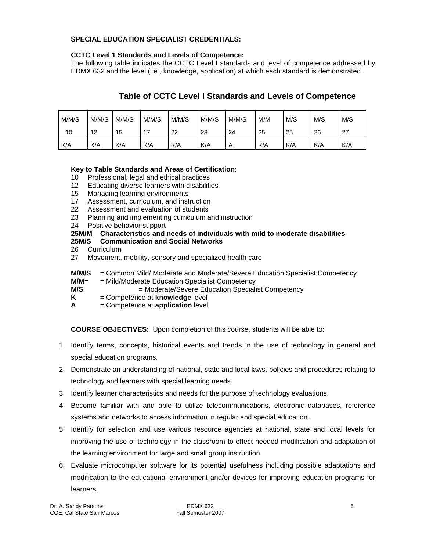# **SPECIAL EDUCATION SPECIALIST CREDENTIALS:**

## **CCTC Level 1 Standards and Levels of Competence:**

The following table indicates the CCTC Level I standards and level of competence addressed by EDMX 632 and the level (i.e., knowledge, application) at which each standard is demonstrated.

# **Table of CCTC Level I Standards and Levels of Competence**

| M/M/S | M/M/S | M/M/S | M/M/S | M/M/S | M/M/S | M/M/S | M/M | M/S | M/S | M/S |
|-------|-------|-------|-------|-------|-------|-------|-----|-----|-----|-----|
| 10    | 12    | 15    |       | 22    | 23    | 24    | 25  | 25  | 26  | 27  |
| K/A   | K/A   | K/A   | K/A   | K/A   | K/A   | A     | K/A | K/A | K/A | K/A |

# **Key to Table Standards and Areas of Certification**:

- 10 Professional, legal and ethical practices
- 12 Educating diverse learners with disabilities
- 15 Managing learning environments
- 17 Assessment, curriculum, and instruction
- 22 Assessment and evaluation of students
- 23 Planning and implementing curriculum and instruction
- 24 Positive behavior support

# **25M/M Characteristics and needs of individuals with mild to moderate disabilities**

# **25M/S Communication and Social Networks**

- 26 Curriculum
- 27 Movement, mobility, sensory and specialized health care
- **M/M/S** = Common Mild/ Moderate and Moderate/Severe Education Specialist Competency
- **M/M**= = Mild/Moderate Education Specialist Competency
- **M/S**  $=$  Moderate/Severe Education Specialist Competency
- **K** = Competence at **knowledge** level
- **A** = Competence at **application** level

**COURSE OBJECTIVES:** Upon completion of this course, students will be able to:

- 1. Identify terms, concepts, historical events and trends in the use of technology in general and special education programs.
- 2. Demonstrate an understanding of national, state and local laws, policies and procedures relating to technology and learners with special learning needs.
- 3. Identify learner characteristics and needs for the purpose of technology evaluations.
- 4. Become familiar with and able to utilize telecommunications, electronic databases, reference systems and networks to access information in regular and special education.
- 5. Identify for selection and use various resource agencies at national, state and local levels for improving the use of technology in the classroom to effect needed modification and adaptation of the learning environment for large and small group instruction.
- 6. Evaluate microcomputer software for its potential usefulness including possible adaptations and modification to the educational environment and/or devices for improving education programs for learners.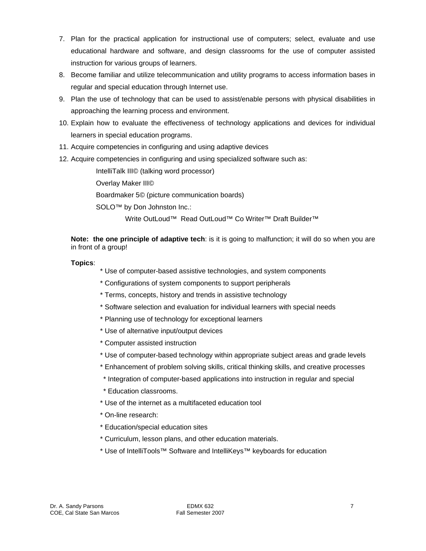- 7. Plan for the practical application for instructional use of computers; select, evaluate and use educational hardware and software, and design classrooms for the use of computer assisted instruction for various groups of learners.
- 8. Become familiar and utilize telecommunication and utility programs to access information bases in regular and special education through Internet use.
- 9. Plan the use of technology that can be used to assist/enable persons with physical disabilities in approaching the learning process and environment.
- 10. Explain how to evaluate the effectiveness of technology applications and devices for individual learners in special education programs.
- 11. Acquire competencies in configuring and using adaptive devices
- 12. Acquire competencies in configuring and using specialized software such as:

IntelliTalk III© (talking word processor)

Overlay Maker III©

Boardmaker 5© (picture communication boards)

SOLO<sup>™</sup> by Don Johnston Inc.:

Write OutLoud™ Read OutLoud™ Co Writer™ Draft Builder™

**Note: the one principle of adaptive tech**: is it is going to malfunction; it will do so when you are in front of a group!

# **Topics**:

- \* Use of computer-based assistive technologies, and system components
- \* Configurations of system components to support peripherals
- \* Terms, concepts, history and trends in assistive technology
- \* Software selection and evaluation for individual learners with special needs
- \* Planning use of technology for exceptional learners
- \* Use of alternative input/output devices
- \* Computer assisted instruction
- \* Use of computer-based technology within appropriate subject areas and grade levels
- \* Enhancement of problem solving skills, critical thinking skills, and creative processes
- \* Integration of computer-based applications into instruction in regular and special
- \* Education classrooms.
- \* Use of the internet as a multifaceted education tool
- \* On-line research:
- \* Education/special education sites
- \* Curriculum, lesson plans, and other education materials.
- \* Use of IntelliTools™ Software and IntelliKeys™ keyboards for education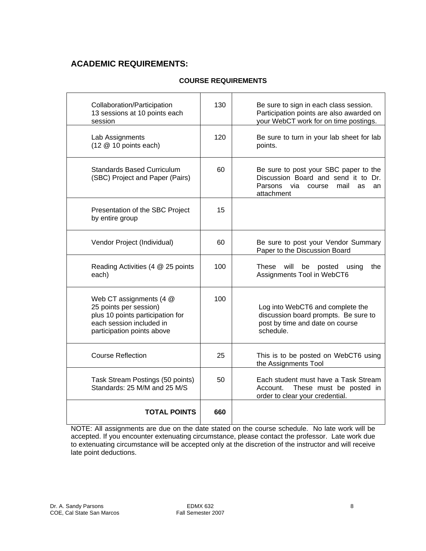# **ACADEMIC REQUIREMENTS:**

| <b>COURSE REQUIREMENTS</b> |
|----------------------------|
|                            |

| Collaboration/Participation<br>13 sessions at 10 points each<br>session                                                                         | 130 | Be sure to sign in each class session.<br>Participation points are also awarded on<br>your WebCT work for on time postings.                |
|-------------------------------------------------------------------------------------------------------------------------------------------------|-----|--------------------------------------------------------------------------------------------------------------------------------------------|
| Lab Assignments<br>$(12 \t@ 10$ points each)                                                                                                    | 120 | Be sure to turn in your lab sheet for lab<br>points.                                                                                       |
| Standards Based Curriculum<br>(SBC) Project and Paper (Pairs)                                                                                   | 60  | Be sure to post your SBC paper to the<br>Discussion Board and send it to Dr.<br>Parsons<br>via<br>mail<br>course<br>as<br>an<br>attachment |
| Presentation of the SBC Project<br>by entire group                                                                                              | 15  |                                                                                                                                            |
| Vendor Project (Individual)                                                                                                                     | 60  | Be sure to post your Vendor Summary<br>Paper to the Discussion Board                                                                       |
| Reading Activities (4 @ 25 points<br>each)                                                                                                      | 100 | These<br>will<br>be<br>posted<br>the<br>using<br>Assignments Tool in WebCT6                                                                |
| Web CT assignments (4 @<br>25 points per session)<br>plus 10 points participation for<br>each session included in<br>participation points above | 100 | Log into WebCT6 and complete the<br>discussion board prompts. Be sure to<br>post by time and date on course<br>schedule.                   |
| <b>Course Reflection</b>                                                                                                                        | 25  | This is to be posted on WebCT6 using<br>the Assignments Tool                                                                               |
| Task Stream Postings (50 points)<br>Standards: 25 M/M and 25 M/S                                                                                | 50  | Each student must have a Task Stream<br>Account. These must be posted in<br>order to clear your credential.                                |
| <b>TOTAL POINTS</b>                                                                                                                             | 660 |                                                                                                                                            |

NOTE: All assignments are due on the date stated on the course schedule. No late work will be accepted. If you encounter extenuating circumstance, please contact the professor. Late work due to extenuating circumstance will be accepted only at the discretion of the instructor and will receive late point deductions.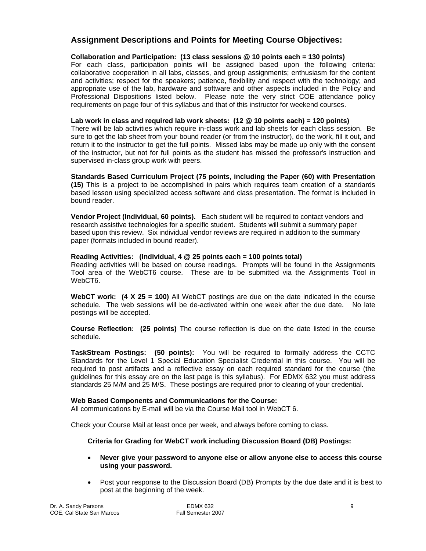# **Assignment Descriptions and Points for Meeting Course Objectives:**

## **Collaboration and Participation: (13 class sessions @ 10 points each = 130 points)**

For each class, participation points will be assigned based upon the following criteria: collaborative cooperation in all labs, classes, and group assignments; enthusiasm for the content and activities; respect for the speakers; patience, flexibility and respect with the technology; and appropriate use of the lab, hardware and software and other aspects included in the Policy and Professional Dispositions listed below. Please note the very strict COE attendance policy requirements on page four of this syllabus and that of this instructor for weekend courses.

### **Lab work in class and required lab work sheets: (12 @ 10 points each) = 120 points)**

There will be lab activities which require in-class work and lab sheets for each class session. Be sure to get the lab sheet from your bound reader (or from the instructor), do the work, fill it out, and return it to the instructor to get the full points. Missed labs may be made up only with the consent of the instructor, but not for full points as the student has missed the professor's instruction and supervised in-class group work with peers.

**Standards Based Curriculum Project (75 points, including the Paper (60) with Presentation (15)** This is a project to be accomplished in pairs which requires team creation of a standards based lesson using specialized access software and class presentation. The format is included in bound reader.

**Vendor Project (Individual, 60 points).** Each student will be required to contact vendors and research assistive technologies for a specific student. Students will submit a summary paper based upon this review. Six individual vendor reviews are required in addition to the summary paper (formats included in bound reader).

## **Reading Activities: (Individual, 4 @ 25 points each = 100 points total)**

Reading activities will be based on course readings. Prompts will be found in the Assignments Tool area of the WebCT6 course. These are to be submitted via the Assignments Tool in WebCT6.

**WebCT work: (4 X 25 = 100)** All WebCT postings are due on the date indicated in the course schedule. The web sessions will be de-activated within one week after the due date. No late postings will be accepted.

**Course Reflection: (25 points)** The course reflection is due on the date listed in the course schedule.

**TaskStream Postings: (50 points):** You will be required to formally address the CCTC Standards for the Level 1 Special Education Specialist Credential in this course. You will be required to post artifacts and a reflective essay on each required standard for the course (the guidelines for this essay are on the last page is this syllabus). For EDMX 632 you must address standards 25 M/M and 25 M/S. These postings are required prior to clearing of your credential.

### **Web Based Components and Communications for the Course:**

All communications by E-mail will be via the Course Mail tool in WebCT 6.

Check your Course Mail at least once per week, and always before coming to class.

# **Criteria for Grading for WebCT work including Discussion Board (DB) Postings:**

- **Never give your password to anyone else or allow anyone else to access this course using your password.**
- Post your response to the Discussion Board (DB) Prompts by the due date and it is best to post at the beginning of the week.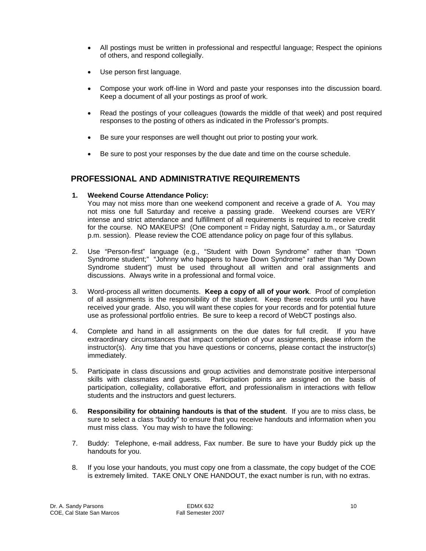- All postings must be written in professional and respectful language; Respect the opinions of others, and respond collegially.
- Use person first language.
- Compose your work off-line in Word and paste your responses into the discussion board. Keep a document of all your postings as proof of work.
- Read the postings of your colleagues (towards the middle of that week) and post required responses to the posting of others as indicated in the Professor's prompts.
- Be sure your responses are well thought out prior to posting your work.
- Be sure to post your responses by the due date and time on the course schedule.

# **PROFESSIONAL AND ADMINISTRATIVE REQUIREMENTS**

## **1. Weekend Course Attendance Policy:**

You may not miss more than one weekend component and receive a grade of A. You may not miss one full Saturday and receive a passing grade. Weekend courses are VERY intense and strict attendance and fulfillment of all requirements is required to receive credit for the course. NO MAKEUPS! (One component = Friday night, Saturday a.m., or Saturday p.m. session). Please review the COE attendance policy on page four of this syllabus.

- 2. Use "Person-first" language (e.g., "Student with Down Syndrome" rather than "Down Syndrome student;" "Johnny who happens to have Down Syndrome" rather than "My Down Syndrome student") must be used throughout all written and oral assignments and discussions. Always write in a professional and formal voice.
- 3. Word-process all written documents. **Keep a copy of all of your work**. Proof of completion of all assignments is the responsibility of the student. Keep these records until you have received your grade. Also, you will want these copies for your records and for potential future use as professional portfolio entries. Be sure to keep a record of WebCT postings also.
- 4. Complete and hand in all assignments on the due dates for full credit. If you have extraordinary circumstances that impact completion of your assignments, please inform the instructor(s). Any time that you have questions or concerns, please contact the instructor(s) immediately.
- 5. Participate in class discussions and group activities and demonstrate positive interpersonal skills with classmates and guests. Participation points are assigned on the basis of participation, collegiality, collaborative effort, and professionalism in interactions with fellow students and the instructors and guest lecturers.
- 6. **Responsibility for obtaining handouts is that of the student**. If you are to miss class, be sure to select a class "buddy" to ensure that you receive handouts and information when you must miss class. You may wish to have the following:
- 7. Buddy: Telephone, e-mail address, Fax number. Be sure to have your Buddy pick up the handouts for you.
- 8. If you lose your handouts, you must copy one from a classmate, the copy budget of the COE is extremely limited. TAKE ONLY ONE HANDOUT, the exact number is run, with no extras.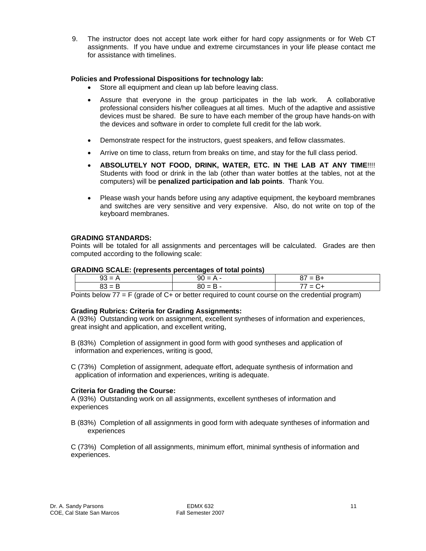9. The instructor does not accept late work either for hard copy assignments or for Web CT assignments. If you have undue and extreme circumstances in your life please contact me for assistance with timelines.

## **Policies and Professional Dispositions for technology lab:**

- Store all equipment and clean up lab before leaving class.
- Assure that everyone in the group participates in the lab work. A collaborative professional considers his/her colleagues at all times. Much of the adaptive and assistive devices must be shared. Be sure to have each member of the group have hands-on with the devices and software in order to complete full credit for the lab work.
- Demonstrate respect for the instructors, guest speakers, and fellow classmates.
- Arrive on time to class, return from breaks on time, and stay for the full class period.
- **ABSOLUTELY NOT FOOD, DRINK, WATER, ETC. IN THE LAB AT ANY TIME**!!!! Students with food or drink in the lab (other than water bottles at the tables, not at the computers) will be **penalized participation and lab points**. Thank You.
- Please wash your hands before using any adaptive equipment, the keyboard membranes and switches are very sensitive and very expensive. Also, do not write on top of the keyboard membranes.

## **GRADING STANDARDS:**

Points will be totaled for all assignments and percentages will be calculated. Grades are then computed according to the following scale:

#### **GRADING SCALE: (represents percentages of total points)**

|   | $90 =$<br>. . | $=$ |
|---|---------------|-----|
| . | $80 = B$      | $=$ |

Points below 77 = F (grade of C+ or better required to count course on the credential program)

### **Grading Rubrics: Criteria for Grading Assignments:**

A (93%) Outstanding work on assignment, excellent syntheses of information and experiences, great insight and application, and excellent writing,

B (83%) Completion of assignment in good form with good syntheses and application of information and experiences, writing is good,

C (73%) Completion of assignment, adequate effort, adequate synthesis of information and application of information and experiences, writing is adequate.

### **Criteria for Grading the Course:**

A (93%) Outstanding work on all assignments, excellent syntheses of information and experiences

B (83%) Completion of all assignments in good form with adequate syntheses of information and experiences

C (73%) Completion of all assignments, minimum effort, minimal synthesis of information and experiences.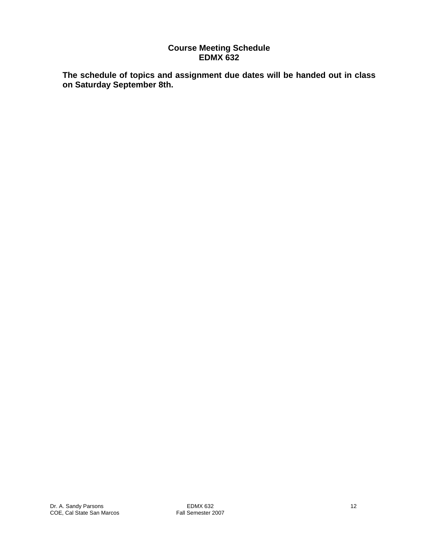# **Course Meeting Schedule EDMX 632**

**The schedule of topics and assignment due dates will be handed out in class on Saturday September 8th.**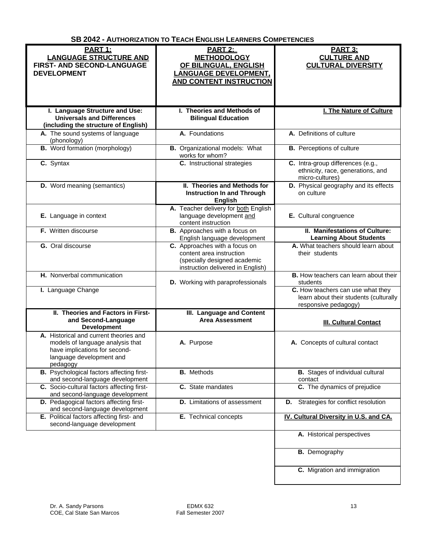**SB 2042 - AUTHORIZATION TO TEACH ENGLISH LEARNERS COMPETENCIES**

| <b>PART 1:</b><br><b>LANGUAGE STRUCTURE AND</b><br><b>FIRST- AND SECOND-LANGUAGE</b><br><b>DEVELOPMENT</b>                                          | PART 2:<br><b>METHODOLOGY</b><br>OF BILINGUAL, ENGLISH<br><b>LANGUAGE DEVELOPMENT,</b><br><b>AND CONTENT INSTRUCTION</b>       | <b>PART 3:</b><br><b>CULTURE AND</b><br><b>CULTURAL DIVERSITY</b>                                   |
|-----------------------------------------------------------------------------------------------------------------------------------------------------|--------------------------------------------------------------------------------------------------------------------------------|-----------------------------------------------------------------------------------------------------|
|                                                                                                                                                     |                                                                                                                                |                                                                                                     |
| I. Language Structure and Use:<br><b>Universals and Differences</b><br>(including the structure of English)                                         | I. Theories and Methods of<br><b>Bilingual Education</b>                                                                       | <b>I. The Nature of Culture</b>                                                                     |
| A. The sound systems of language<br>(phonology)                                                                                                     | A. Foundations                                                                                                                 | A. Definitions of culture                                                                           |
| <b>B.</b> Word formation (morphology)                                                                                                               | <b>B.</b> Organizational models: What<br>works for whom?                                                                       | <b>B.</b> Perceptions of culture                                                                    |
| C. Syntax                                                                                                                                           | C. Instructional strategies                                                                                                    | C. Intra-group differences (e.g.,<br>ethnicity, race, generations, and<br>micro-cultures)           |
| <b>D.</b> Word meaning (semantics)                                                                                                                  | II. Theories and Methods for<br><b>Instruction In and Through</b><br><b>English</b>                                            | D. Physical geography and its effects<br>on culture                                                 |
| E. Language in context                                                                                                                              | A. Teacher delivery for both English<br>language development and<br>content instruction                                        | E. Cultural congruence                                                                              |
| F. Written discourse                                                                                                                                | <b>B.</b> Approaches with a focus on<br>English language development                                                           | II. Manifestations of Culture:<br><b>Learning About Students</b>                                    |
| G. Oral discourse                                                                                                                                   | C. Approaches with a focus on<br>content area instruction<br>(specially designed academic<br>instruction delivered in English) | A. What teachers should learn about<br>their students                                               |
| H. Nonverbal communication                                                                                                                          | D. Working with paraprofessionals                                                                                              | <b>B.</b> How teachers can learn about their<br>students                                            |
| I. Language Change                                                                                                                                  |                                                                                                                                | C. How teachers can use what they<br>learn about their students (culturally<br>responsive pedagogy) |
| II. Theories and Factors in First-<br>and Second-Language<br><b>Development</b>                                                                     | III. Language and Content<br><b>Area Assessment</b>                                                                            | <b>III. Cultural Contact</b>                                                                        |
| A. Historical and current theories and<br>models of language analysis that<br>have implications for second-<br>language development and<br>pedagogy | A. Purpose                                                                                                                     | A. Concepts of cultural contact                                                                     |
| <b>B.</b> Psychological factors affecting first-<br>and second-language development                                                                 | <b>B.</b> Methods                                                                                                              | <b>B.</b> Stages of individual cultural<br>contact                                                  |
| C. Socio-cultural factors affecting first-<br>and second-language development                                                                       | C. State mandates                                                                                                              | C. The dynamics of prejudice                                                                        |
| D. Pedagogical factors affecting first-<br>and second-language development                                                                          | <b>D.</b> Limitations of assessment                                                                                            | Strategies for conflict resolution<br>D.                                                            |
| E. Political factors affecting first- and<br>second-language development                                                                            | E. Technical concepts                                                                                                          | IV. Cultural Diversity in U.S. and CA.                                                              |
|                                                                                                                                                     |                                                                                                                                | A. Historical perspectives                                                                          |

**B.** Demography

**C.** Migration and immigration